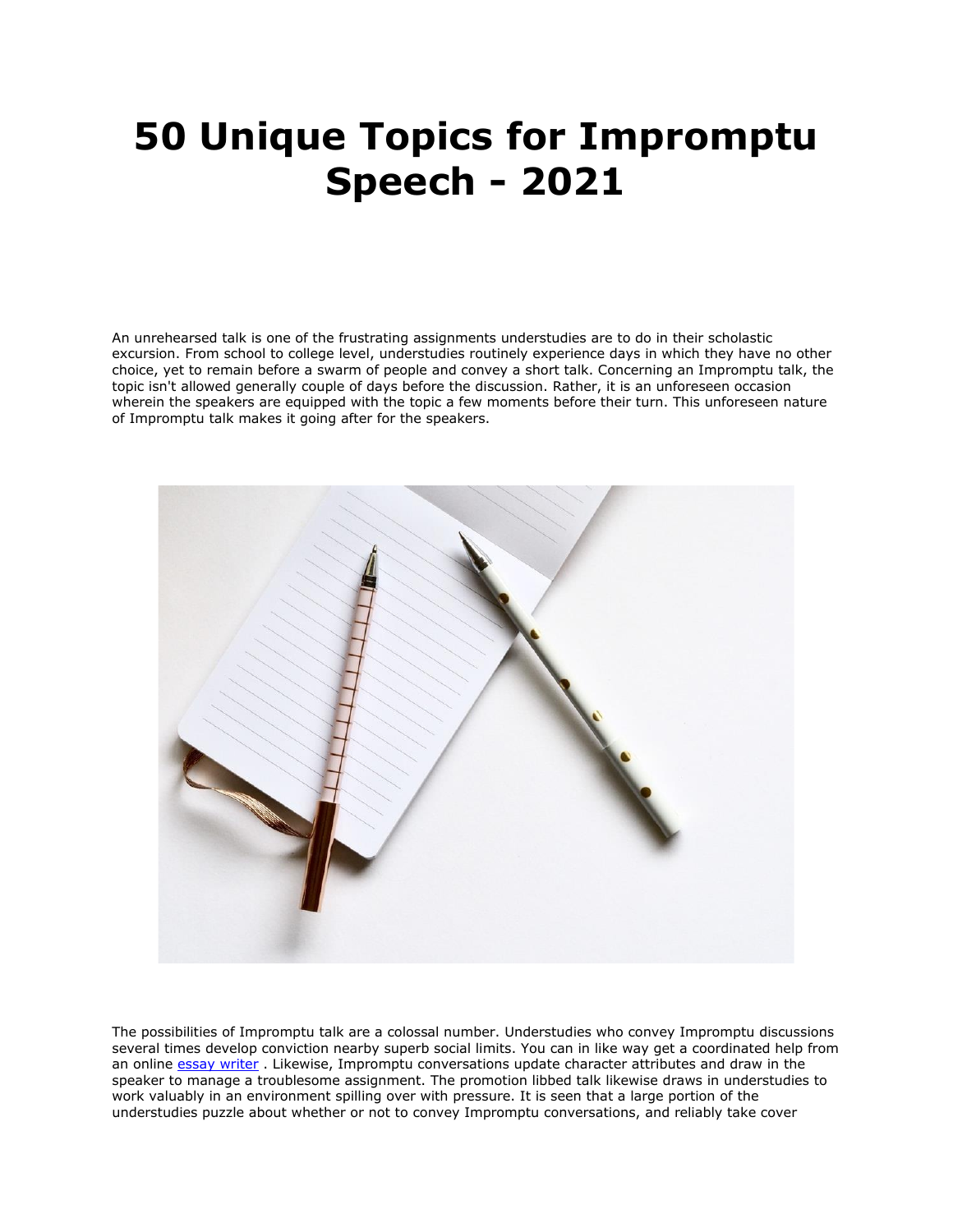## **50 Unique Topics for Impromptu Speech - 2021**

An unrehearsed talk is one of the frustrating assignments understudies are to do in their scholastic excursion. From school to college level, understudies routinely experience days in which they have no other choice, yet to remain before a swarm of people and convey a short talk. Concerning an Impromptu talk, the topic isn't allowed generally couple of days before the discussion. Rather, it is an unforeseen occasion wherein the speakers are equipped with the topic a few moments before their turn. This unforeseen nature of Impromptu talk makes it going after for the speakers.



The possibilities of Impromptu talk are a colossal number. Understudies who convey Impromptu discussions several times develop conviction nearby superb social limits. You can in like way get a coordinated help from an online [essay writer](https://essaywriternow.com/) . Likewise, Impromptu conversations update character attributes and draw in the speaker to manage a troublesome assignment. The promotion libbed talk likewise draws in understudies to work valuably in an environment spilling over with pressure. It is seen that a large portion of the understudies puzzle about whether or not to convey Impromptu conversations, and reliably take cover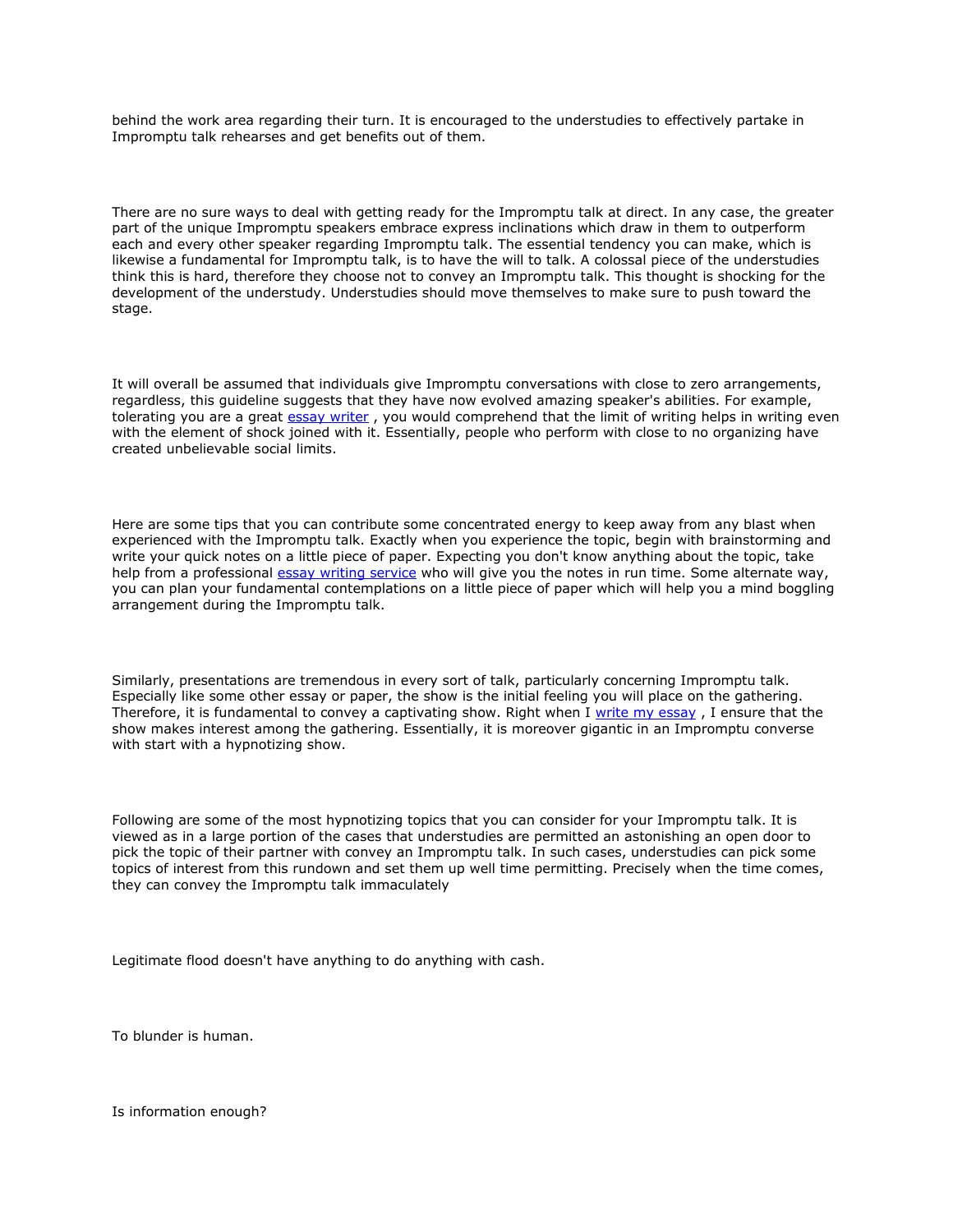behind the work area regarding their turn. It is encouraged to the understudies to effectively partake in Impromptu talk rehearses and get benefits out of them.

There are no sure ways to deal with getting ready for the Impromptu talk at direct. In any case, the greater part of the unique Impromptu speakers embrace express inclinations which draw in them to outperform each and every other speaker regarding Impromptu talk. The essential tendency you can make, which is likewise a fundamental for Impromptu talk, is to have the will to talk. A colossal piece of the understudies think this is hard, therefore they choose not to convey an Impromptu talk. This thought is shocking for the development of the understudy. Understudies should move themselves to make sure to push toward the stage.

It will overall be assumed that individuals give Impromptu conversations with close to zero arrangements, regardless, this guideline suggests that they have now evolved amazing speaker's abilities. For example, tolerating you are a great [essay writer](https://youressaywriter.net/), you would comprehend that the limit of writing helps in writing even with the element of shock joined with it. Essentially, people who perform with close to no organizing have created unbelievable social limits.

Here are some tips that you can contribute some concentrated energy to keep away from any blast when experienced with the Impromptu talk. Exactly when you experience the topic, begin with brainstorming and write your quick notes on a little piece of paper. Expecting you don't know anything about the topic, take help from a professional [essay writing service](https://theessaywritingservice.com/) who will give you the notes in run time. Some alternate way, you can plan your fundamental contemplations on a little piece of paper which will help you a mind boggling arrangement during the Impromptu talk.

Similarly, presentations are tremendous in every sort of talk, particularly concerning Impromptu talk. Especially like some other essay or paper, the show is the initial feeling you will place on the gathering. Therefore, it is fundamental to convey a captivating show. Right when I [write my essay](https://writemyessayfast.net/) , I ensure that the show makes interest among the gathering. Essentially, it is moreover gigantic in an Impromptu converse with start with a hypnotizing show.

Following are some of the most hypnotizing topics that you can consider for your Impromptu talk. It is viewed as in a large portion of the cases that understudies are permitted an astonishing an open door to pick the topic of their partner with convey an Impromptu talk. In such cases, understudies can pick some topics of interest from this rundown and set them up well time permitting. Precisely when the time comes, they can convey the Impromptu talk immaculately

Legitimate flood doesn't have anything to do anything with cash.

To blunder is human.

Is information enough?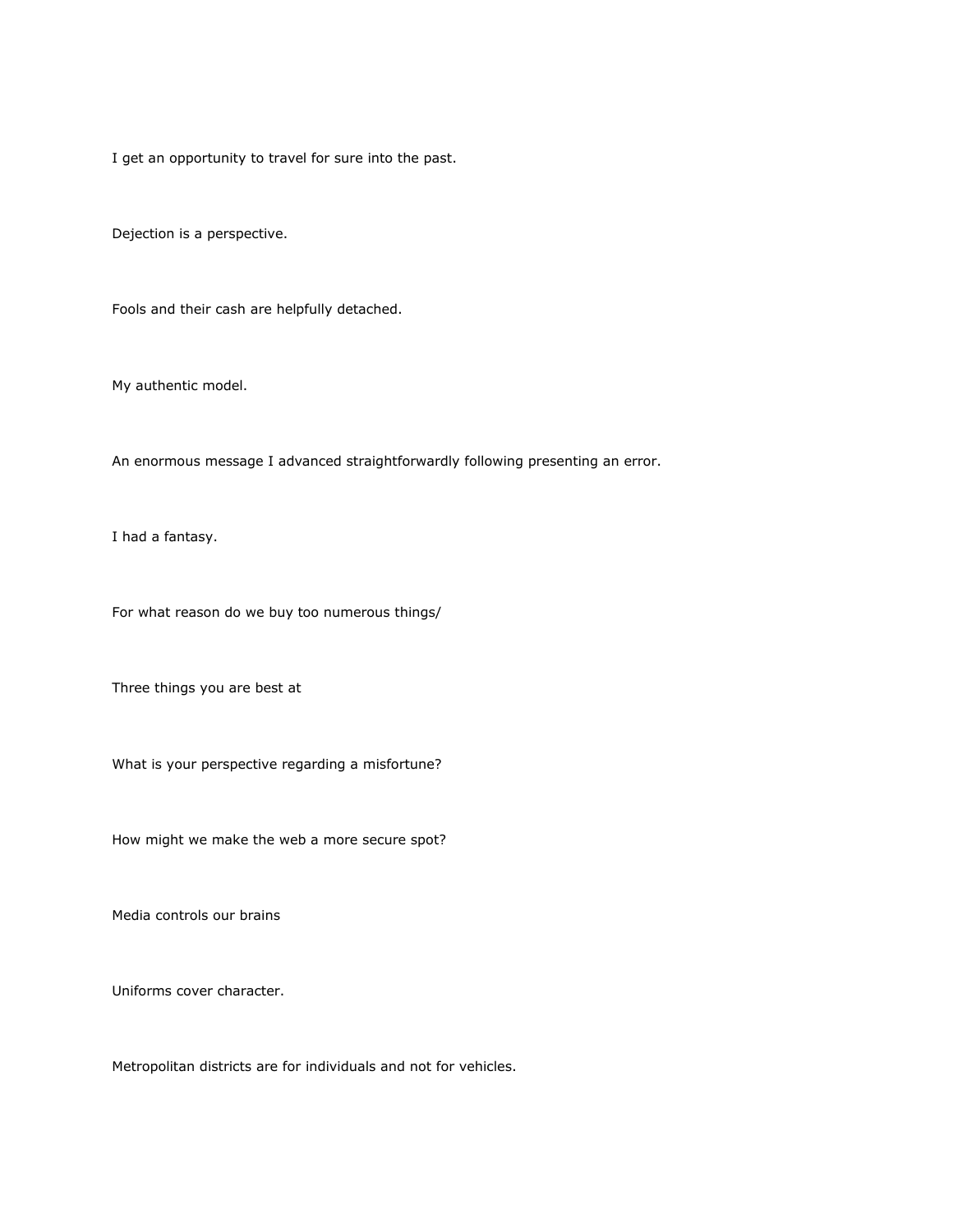I get an opportunity to travel for sure into the past.

Dejection is a perspective.

Fools and their cash are helpfully detached.

My authentic model.

An enormous message I advanced straightforwardly following presenting an error.

I had a fantasy.

For what reason do we buy too numerous things/

Three things you are best at

What is your perspective regarding a misfortune?

How might we make the web a more secure spot?

Media controls our brains

Uniforms cover character.

Metropolitan districts are for individuals and not for vehicles.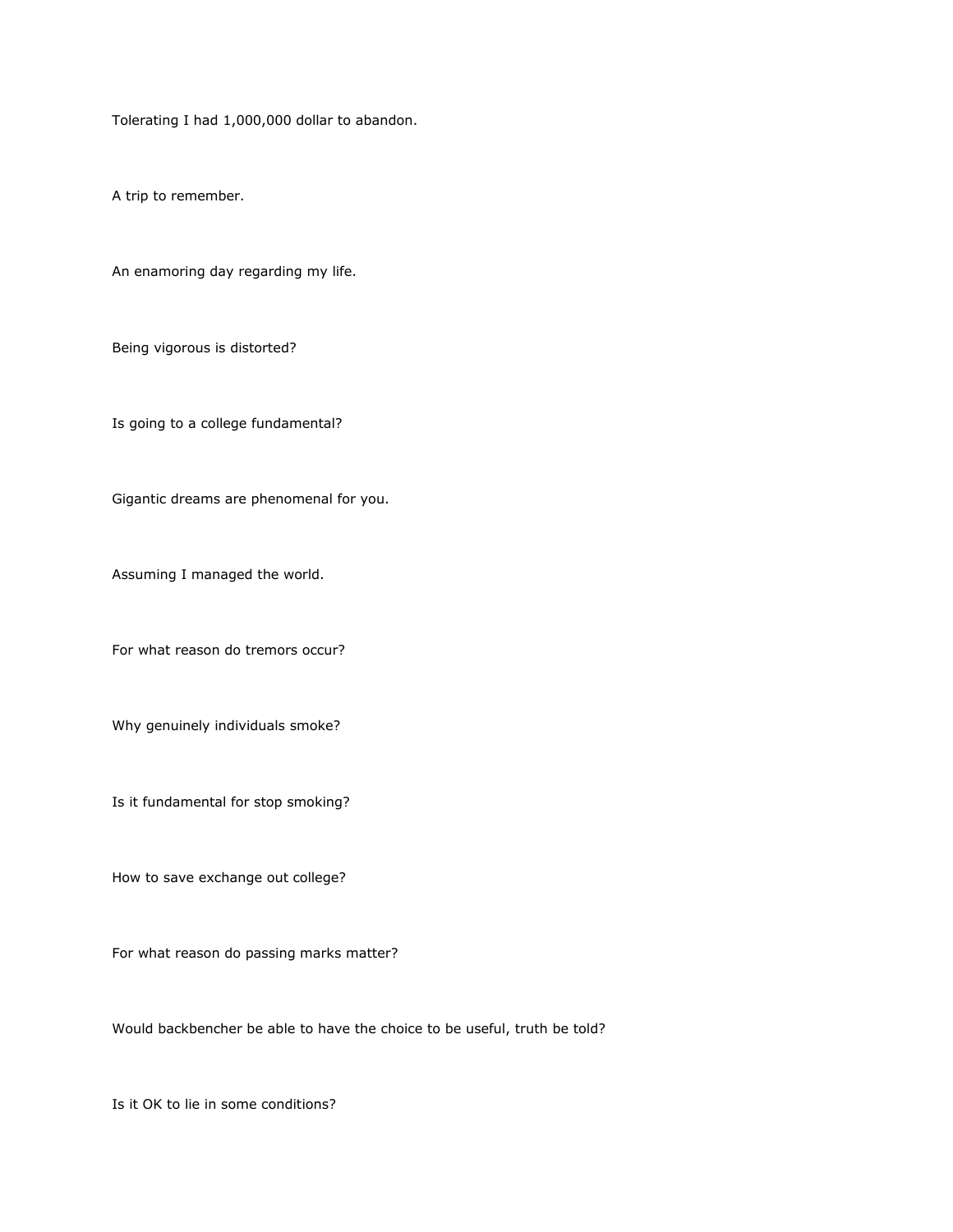Tolerating I had 1,000,000 dollar to abandon.

A trip to remember.

An enamoring day regarding my life.

Being vigorous is distorted?

Is going to a college fundamental?

Gigantic dreams are phenomenal for you.

Assuming I managed the world.

For what reason do tremors occur?

Why genuinely individuals smoke?

Is it fundamental for stop smoking?

How to save exchange out college?

For what reason do passing marks matter?

Would backbencher be able to have the choice to be useful, truth be told?

Is it OK to lie in some conditions?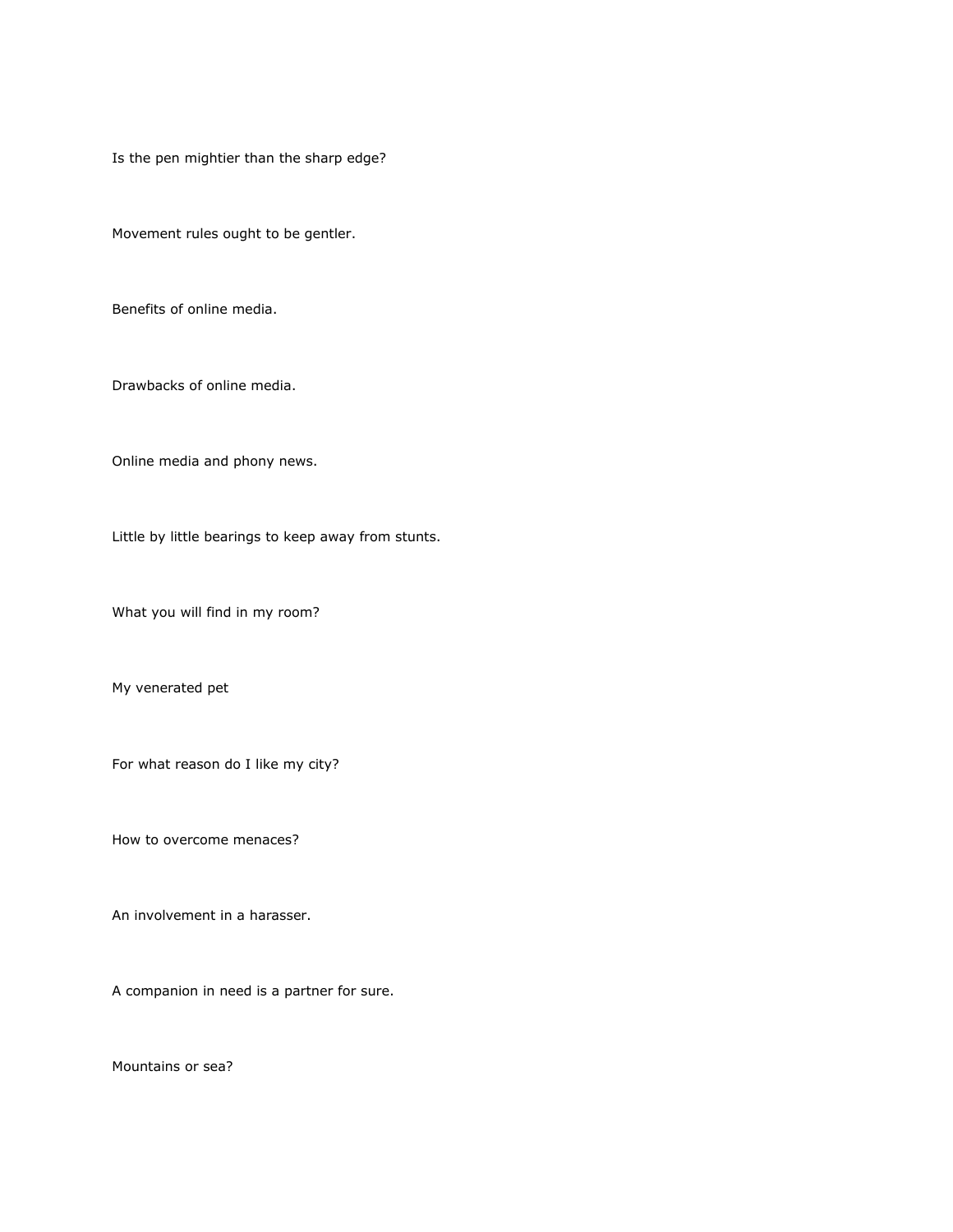Is the pen mightier than the sharp edge?

Movement rules ought to be gentler.

Benefits of online media.

Drawbacks of online media.

Online media and phony news.

Little by little bearings to keep away from stunts.

What you will find in my room?

My venerated pet

For what reason do I like my city?

How to overcome menaces?

An involvement in a harasser.

A companion in need is a partner for sure.

Mountains or sea?